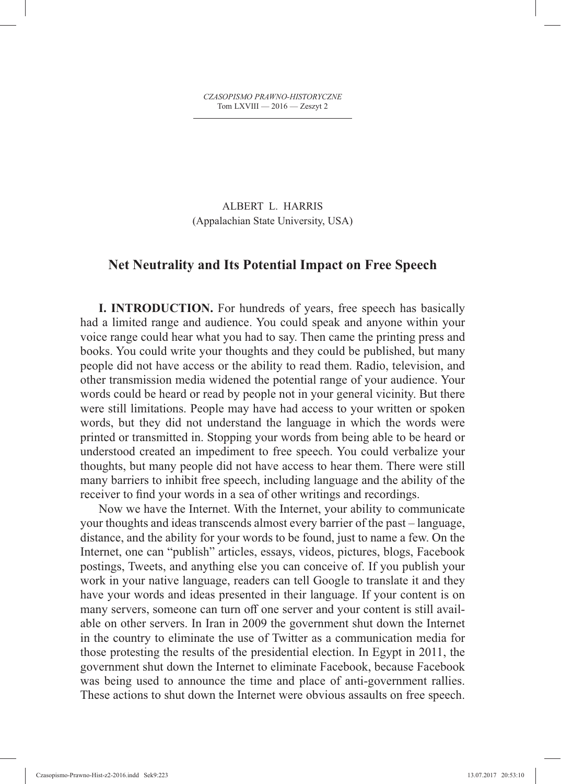*CZASOPISMO PRAWNO-HISTORYCZNE* Tom LXVIII — 2016 — Zeszyt 2

ALBERT L. HARRIS (Appalachian State University, USA)

## **Net Neutrality and Its Potential Impact on Free Speech**

**I. INTRODUCTION.** For hundreds of years, free speech has basically had a limited range and audience. You could speak and anyone within your voice range could hear what you had to say. Then came the printing press and books. You could write your thoughts and they could be published, but many people did not have access or the ability to read them. Radio, television, and other transmission media widened the potential range of your audience. Your words could be heard or read by people not in your general vicinity. But there were still limitations. People may have had access to your written or spoken words, but they did not understand the language in which the words were printed or transmitted in. Stopping your words from being able to be heard or understood created an impediment to free speech. You could verbalize your thoughts, but many people did not have access to hear them. There were still many barriers to inhibit free speech, including language and the ability of the receiver to find your words in a sea of other writings and recordings.

Now we have the Internet. With the Internet, your ability to communicate your thoughts and ideas transcends almost every barrier of the past – language, distance, and the ability for your words to be found, just to name a few. On the Internet, one can "publish" articles, essays, videos, pictures, blogs, Facebook postings, Tweets, and anything else you can conceive of. If you publish your work in your native language, readers can tell Google to translate it and they have your words and ideas presented in their language. If your content is on many servers, someone can turn off one server and your content is still available on other servers. In Iran in 2009 the government shut down the Internet in the country to eliminate the use of Twitter as a communication media for those protesting the results of the presidential election. In Egypt in 2011, the government shut down the Internet to eliminate Facebook, because Facebook was being used to announce the time and place of anti-government rallies. These actions to shut down the Internet were obvious assaults on free speech.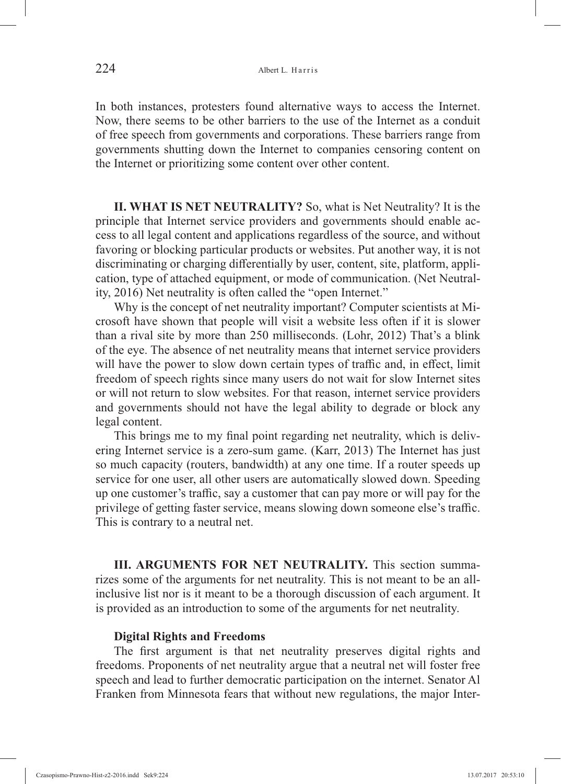In both instances, protesters found alternative ways to access the Internet. Now, there seems to be other barriers to the use of the Internet as a conduit of free speech from governments and corporations. These barriers range from governments shutting down the Internet to companies censoring content on the Internet or prioritizing some content over other content.

**II. WHAT IS NET NEUTRALITY?** So, what is Net Neutrality? It is the principle that Internet service providers and governments should enable access to all legal content and applications regardless of the source, and without favoring or blocking particular products or websites. Put another way, it is not discriminating or charging differentially by user, content, site, platform, application, type of attached equipment, or mode of communication. (Net Neutrality, 2016) Net neutrality is often called the "open Internet."

Why is the concept of net neutrality important? Computer scientists at Microsoft have shown that people will visit a website less often if it is slower than a rival site by more than 250 milliseconds. (Lohr, 2012) That's a blink of the eye. The absence of net neutrality means that internet service providers will have the power to slow down certain types of traffic and, in effect, limit freedom of speech rights since many users do not wait for slow Internet sites or will not return to slow websites. For that reason, internet service providers and governments should not have the legal ability to degrade or block any legal content.

This brings me to my final point regarding net neutrality, which is delivering Internet service is a zero-sum game. (Karr, 2013) The Internet has just so much capacity (routers, bandwidth) at any one time. If a router speeds up service for one user, all other users are automatically slowed down. Speeding up one customer's traffic, say a customer that can pay more or will pay for the privilege of getting faster service, means slowing down someone else's traffic. This is contrary to a neutral net.

**III. ARGUMENTS FOR NET NEUTRALITY.** This section summarizes some of the arguments for net neutrality. This is not meant to be an allinclusive list nor is it meant to be a thorough discussion of each argument. It is provided as an introduction to some of the arguments for net neutrality.

#### **Digital Rights and Freedoms**

The first argument is that net neutrality preserves digital rights and freedoms. Proponents of net neutrality argue that a neutral net will foster free speech and lead to further democratic participation on the internet. Senator Al Franken from Minnesota fears that without new regulations, the major Inter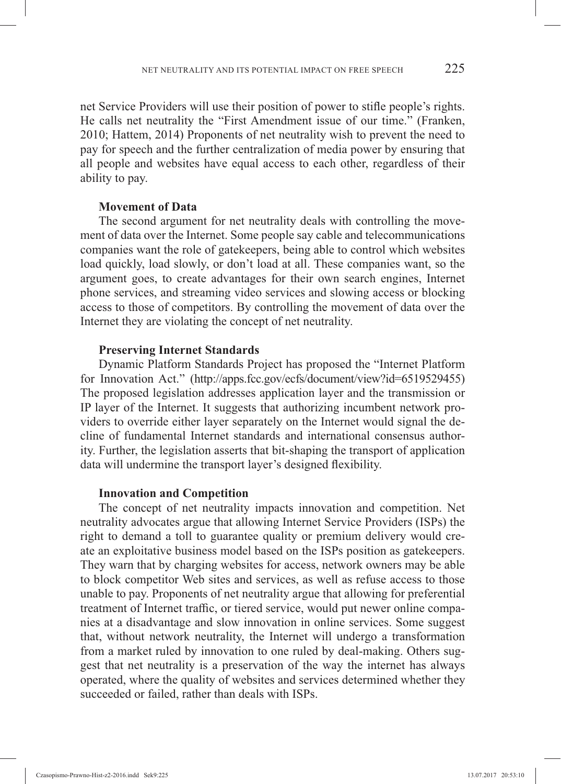net Service Providers will use their position of power to stifle people's rights. He calls net neutrality the "First Amendment issue of our time." (Franken, 2010; Hattem, 2014) Proponents of net neutrality wish to prevent the need to pay for speech and the further centralization of media power by ensuring that all people and websites have equal access to each other, regardless of their ability to pay.

## **Movement of Data**

The second argument for net neutrality deals with controlling the movement of data over the Internet. Some people say cable and telecommunications companies want the role of gatekeepers, being able to control which websites load quickly, load slowly, or don't load at all. These companies want, so the argument goes, to create advantages for their own search engines, Internet phone services, and streaming video services and slowing access or blocking access to those of competitors. By controlling the movement of data over the Internet they are violating the concept of net neutrality.

#### **Preserving Internet Standards**

Dynamic Platform Standards Project has proposed the "Internet Platform for Innovation Act." (http://apps.fcc.gov/ecfs/document/view?id=6519529455) The proposed legislation addresses application layer and the transmission or IP layer of the Internet. It suggests that authorizing incumbent network providers to override either layer separately on the Internet would signal the decline of fundamental Internet standards and international consensus authority. Further, the legislation asserts that bit-shaping the transport of application data will undermine the transport layer's designed flexibility.

#### **Innovation and Competition**

The concept of net neutrality impacts innovation and competition. Net neutrality advocates argue that allowing Internet Service Providers (ISPs) the right to demand a toll to guarantee quality or premium delivery would create an exploitative business model based on the ISPs position as gatekeepers. They warn that by charging websites for access, network owners may be able to block competitor Web sites and services, as well as refuse access to those unable to pay. Proponents of net neutrality argue that allowing for preferential treatment of Internet traffic, or tiered service, would put newer online companies at a disadvantage and slow innovation in online services. Some suggest that, without network neutrality, the Internet will undergo a transformation from a market ruled by innovation to one ruled by deal-making. Others suggest that net neutrality is a preservation of the way the internet has always operated, where the quality of websites and services determined whether they succeeded or failed, rather than deals with ISPs.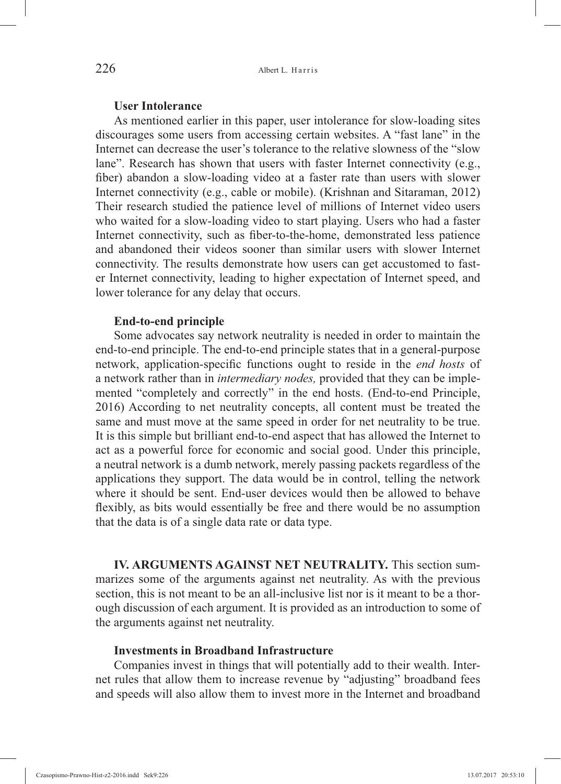### **User Intolerance**

As mentioned earlier in this paper, user intolerance for slow-loading sites discourages some users from accessing certain websites. A "fast lane" in the Internet can decrease the user's tolerance to the relative slowness of the "slow lane". Research has shown that users with faster Internet connectivity (e.g., fiber) abandon a slow-loading video at a faster rate than users with slower Internet connectivity (e.g., cable or mobile). (Krishnan and Sitaraman, 2012) Their research studied the patience level of millions of Internet video users who waited for a slow-loading video to start playing. Users who had a faster Internet connectivity, such as fiber-to-the-home, demonstrated less patience and abandoned their videos sooner than similar users with slower Internet connectivity. The results demonstrate how users can get accustomed to faster Internet connectivity, leading to higher expectation of Internet speed, and lower tolerance for any delay that occurs.

#### **End-to-end principle**

Some advocates say network neutrality is needed in order to maintain the end-to-end principle. The end-to-end principle states that in a general-purpose network, application-specific functions ought to reside in the *end hosts* of a network rather than in *intermediary nodes,* provided that they can be implemented "completely and correctly" in the end hosts. (End-to-end Principle, 2016) According to net neutrality concepts, all content must be treated the same and must move at the same speed in order for net neutrality to be true. It is this simple but brilliant end-to-end aspect that has allowed the Internet to act as a powerful force for economic and social good. Under this principle, a neutral network is a dumb network, merely passing packets regardless of the applications they support. The data would be in control, telling the network where it should be sent. End-user devices would then be allowed to behave flexibly, as bits would essentially be free and there would be no assumption that the data is of a single data rate or data type.

**IV. ARGUMENTS AGAINST NET NEUTRALITY.** This section summarizes some of the arguments against net neutrality. As with the previous section, this is not meant to be an all-inclusive list nor is it meant to be a thorough discussion of each argument. It is provided as an introduction to some of the arguments against net neutrality.

## **Investments in Broadband Infrastructure**

Companies invest in things that will potentially add to their wealth. Internet rules that allow them to increase revenue by "adjusting" broadband fees and speeds will also allow them to invest more in the Internet and broadband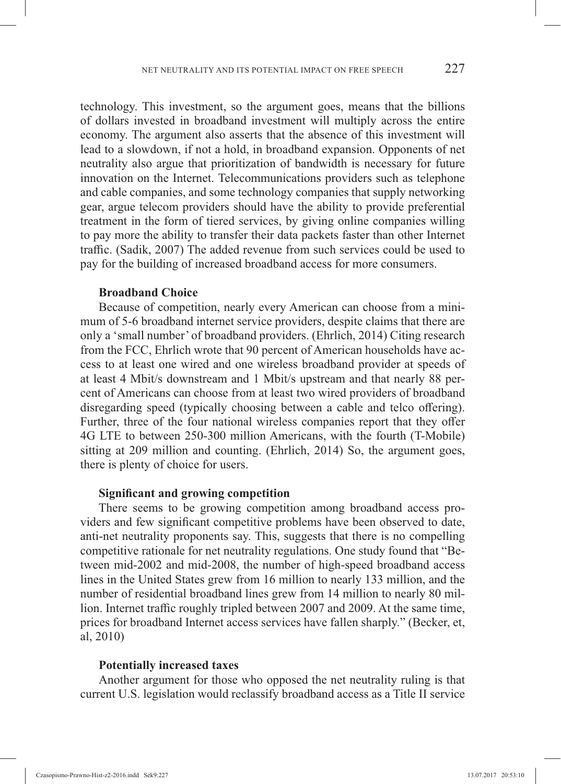technology. This investment, so the argument goes, means that the billions of dollars invested in broadband investment will multiply across the entire economy. The argument also asserts that the absence of this investment will lead to a slowdown, if not a hold, in broadband expansion. Opponents of net neutrality also argue that prioritization of bandwidth is necessary for future innovation on the Internet. Telecommunications providers such as telephone and cable companies, and some technology companies that supply networking gear, argue telecom providers should have the ability to provide preferential treatment in the form of tiered services, by giving online companies willing to pay more the ability to transfer their data packets faster than other Internet traffic. (Sadik, 2007) The added revenue from such services could be used to pay for the building of increased broadband access for more consumers.

## **Broadband Choice**

Because of competition, nearly every American can choose from a minimum of 5-6 broadband internet service providers, despite claims that there are only a 'small number' of broadband providers. (Ehrlich, 2014) Citing research from the FCC, Ehrlich wrote that 90 percent of American households have access to at least one wired and one wireless broadband provider at speeds of at least 4 Mbit/s downstream and 1 Mbit/s upstream and that nearly 88 percent of Americans can choose from at least two wired providers of broadband disregarding speed (typically choosing between a cable and telco offering). Further, three of the four national wireless companies report that they offer 4G LTE to between 250-300 million Americans, with the fourth (T-Mobile) sitting at 209 million and counting. (Ehrlich, 2014) So, the argument goes, there is plenty of choice for users.

#### **Significant and growing competition**

There seems to be growing competition among broadband access providers and few significant competitive problems have been observed to date, anti-net neutrality proponents say. This, suggests that there is no compelling competitive rationale for net neutrality regulations. One study found that "Between mid-2002 and mid-2008, the number of high-speed broadband access lines in the United States grew from 16 million to nearly 133 million, and the number of residential broadband lines grew from 14 million to nearly 80 million. Internet traffic roughly tripled between 2007 and 2009. At the same time, prices for broadband Internet access services have fallen sharply." (Becker, et, al, 2010)

#### **Potentially increased taxes**

Another argument for those who opposed the net neutrality ruling is that current U.S. legislation would reclassify broadband access as a Title II service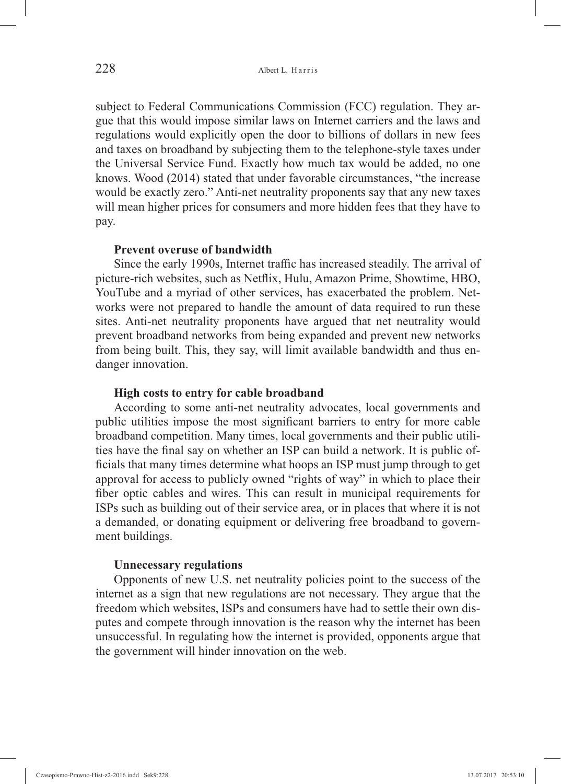subject to Federal Communications Commission (FCC) regulation. They argue that this would impose similar laws on Internet carriers and the laws and regulations would explicitly open the door to billions of dollars in new fees and taxes on broadband by subjecting them to the telephone-style taxes under the Universal Service Fund. Exactly how much tax would be added, no one knows. Wood (2014) stated that under favorable circumstances, "the increase would be exactly zero." Anti-net neutrality proponents say that any new taxes will mean higher prices for consumers and more hidden fees that they have to pay.

### **Prevent overuse of bandwidth**

Since the early 1990s, Internet traffic has increased steadily. The arrival of picture-rich websites, such as Netflix, Hulu, Amazon Prime, Showtime, HBO, YouTube and a myriad of other services, has exacerbated the problem. Networks were not prepared to handle the amount of data required to run these sites. Anti-net neutrality proponents have argued that net neutrality would prevent broadband networks from being expanded and prevent new networks from being built. This, they say, will limit available bandwidth and thus endanger innovation.

## **High costs to entry for cable broadband**

According to some anti-net neutrality advocates, local governments and public utilities impose the most significant barriers to entry for more cable broadband competition. Many times, local governments and their public utilities have the final say on whether an ISP can build a network. It is public officials that many times determine what hoops an ISP must jump through to get approval for access to publicly owned "rights of way" in which to place their fiber optic cables and wires. This can result in municipal requirements for ISPs such as building out of their service area, or in places that where it is not a demanded, or donating equipment or delivering free broadband to government buildings.

## **Unnecessary regulations**

Opponents of new U.S. net neutrality policies point to the success of the internet as a sign that new regulations are not necessary. They argue that the freedom which websites, ISPs and consumers have had to settle their own disputes and compete through innovation is the reason why the internet has been unsuccessful. In regulating how the internet is provided, opponents argue that the government will hinder innovation on the web.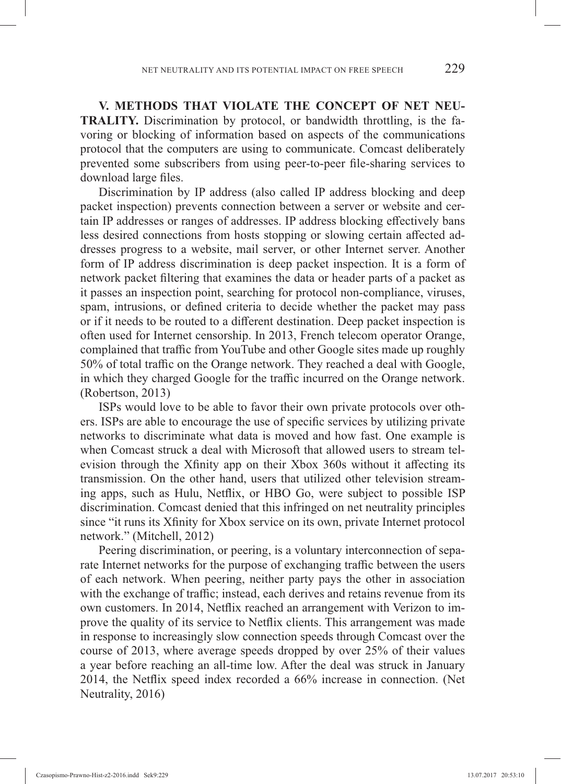**V. METHODS THAT VIOLATE THE CONCEPT OF NET NEU-TRALITY.** Discrimination by protocol, or bandwidth throttling, is the favoring or blocking of information based on aspects of the communications protocol that the computers are using to communicate. Comcast deliberately prevented some subscribers from using peer-to-peer file-sharing services to download large files.

Discrimination by IP address (also called IP address blocking and deep packet inspection) prevents connection between a server or website and certain IP addresses or ranges of addresses. IP address blocking effectively bans less desired connections from hosts stopping or slowing certain affected addresses progress to a website, mail server, or other Internet server. Another form of IP address discrimination is deep packet inspection. It is a form of network packet filtering that examines the data or header parts of a packet as it passes an inspection point, searching for protocol non-compliance, viruses, spam, intrusions, or defined criteria to decide whether the packet may pass or if it needs to be routed to a different destination. Deep packet inspection is often used for Internet censorship. In 2013, French telecom operator Orange, complained that traffic from YouTube and other Google sites made up roughly 50% of total traffic on the Orange network. They reached a deal with Google, in which they charged Google for the traffic incurred on the Orange network. (Robertson, 2013)

ISPs would love to be able to favor their own private protocols over others. ISPs are able to encourage the use of specific services by utilizing private networks to discriminate what data is moved and how fast. One example is when Comcast struck a deal with Microsoft that allowed users to stream television through the Xfinity app on their Xbox 360s without it affecting its transmission. On the other hand, users that utilized other television streaming apps, such as Hulu, Netflix, or HBO Go, were subject to possible ISP discrimination. Comcast denied that this infringed on net neutrality principles since "it runs its Xfinity for Xbox service on its own, private Internet protocol network." (Mitchell, 2012)

Peering discrimination, or peering, is a voluntary interconnection of separate Internet networks for the purpose of exchanging traffic between the users of each network. When peering, neither party pays the other in association with the exchange of traffic; instead, each derives and retains revenue from its own customers. In 2014, Netflix reached an arrangement with Verizon to improve the quality of its service to Netflix clients. This arrangement was made in response to increasingly slow connection speeds through Comcast over the course of 2013, where average speeds dropped by over 25% of their values a year before reaching an all-time low. After the deal was struck in January 2014, the Netflix speed index recorded a  $66\%$  increase in connection. (Net Neutrality, 2016)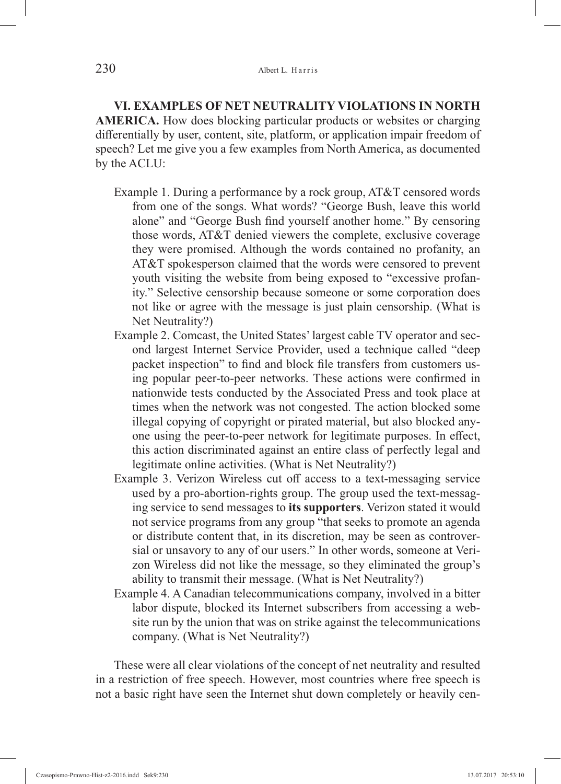**VI. EXAMPLES OF NET NEUTRALITY VIOLATIONS IN NORTH AMERICA.** How does blocking particular products or websites or charging differentially by user, content, site, platform, or application impair freedom of speech? Let me give you a few examples from North America, as documented by the ACLU:

- Example 1. During a performance by a rock group, AT&T censored words from one of the songs. What words? "George Bush, leave this world alone" and "George Bush find yourself another home." By censoring those words, AT&T denied viewers the complete, exclusive coverage they were promised. Although the words contained no profanity, an AT&T spokesperson claimed that the words were censored to prevent youth visiting the website from being exposed to "excessive profanity." Selective censorship because someone or some corporation does not like or agree with the message is just plain censorship. (What is Net Neutrality?)
- Example 2. Comcast, the United States' largest cable TV operator and second largest Internet Service Provider, used a technique called "deep packet inspection" to find and block file transfers from customers using popular peer-to-peer networks. These actions were confirmed in nationwide tests conducted by the Associated Press and took place at times when the network was not congested. The action blocked some illegal copying of copyright or pirated material, but also blocked anyone using the peer-to-peer network for legitimate purposes. In effect, this action discriminated against an entire class of perfectly legal and legitimate online activities. (What is Net Neutrality?)
- Example 3. Verizon Wireless cut off access to a text-messaging service used by a pro-abortion-rights group. The group used the text-messaging service to send messages to **its supporters**. Verizon stated it would not service programs from any group "that seeks to promote an agenda or distribute content that, in its discretion, may be seen as controversial or unsavory to any of our users." In other words, someone at Verizon Wireless did not like the message, so they eliminated the group's ability to transmit their message. (What is Net Neutrality?)
- Example 4. A Canadian telecommunications company, involved in a bitter labor dispute, blocked its Internet subscribers from accessing a website run by the union that was on strike against the telecommunications company. (What is Net Neutrality?)

These were all clear violations of the concept of net neutrality and resulted in a restriction of free speech. However, most countries where free speech is not a basic right have seen the Internet shut down completely or heavily cen-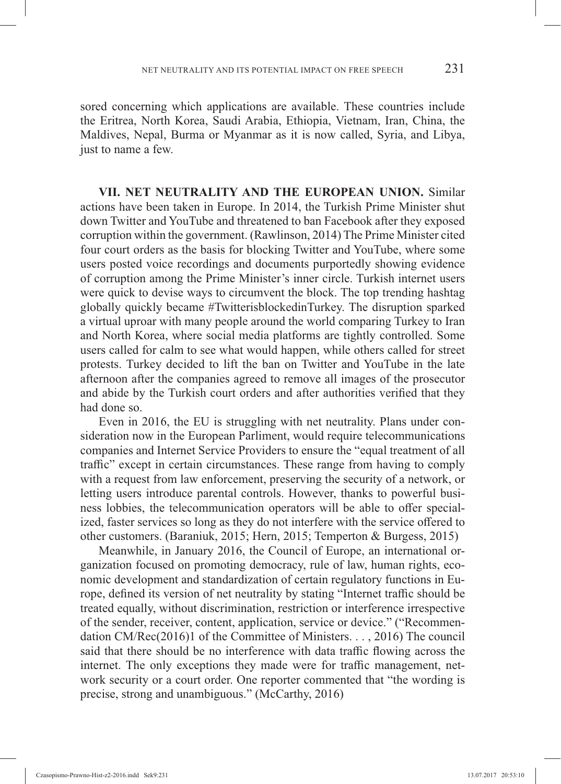sored concerning which applications are available. These countries include the Eritrea, North Korea, Saudi Arabia, Ethiopia, Vietnam, Iran, China, the Maldives, Nepal, Burma or Myanmar as it is now called, Syria, and Libya, just to name a few.

**VII. NET NEUTRALITY AND THE EUROPEAN UNION.** Similar actions have been taken in Europe. In 2014, the Turkish Prime Minister shut down Twitter and YouTube and threatened to ban Facebook after they exposed corruption within the government. (Rawlinson, 2014) The Prime Minister cited four court orders as the basis for blocking Twitter and YouTube, where some users posted voice recordings and documents purportedly showing evidence of corruption among the Prime Minister's inner circle. Turkish internet users were quick to devise ways to circumvent the block. The top trending hashtag globally quickly became #TwitterisblockedinTurkey. The disruption sparked a virtual uproar with many people around the world comparing Turkey to Iran and North Korea, where social media platforms are tightly controlled. Some users called for calm to see what would happen, while others called for street protests. Turkey decided to lift the ban on Twitter and YouTube in the late afternoon after the companies agreed to remove all images of the prosecutor and abide by the Turkish court orders and after authorities verified that they had done so.

Even in 2016, the EU is struggling with net neutrality. Plans under consideration now in the European Parliment, would require telecommunications companies and Internet Service Providers to ensure the "equal treatment of all traffic" except in certain circumstances. These range from having to comply with a request from law enforcement, preserving the security of a network, or letting users introduce parental controls. However, thanks to powerful business lobbies, the telecommunication operators will be able to offer specialized, faster services so long as they do not interfere with the service offered to other customers. (Baraniuk, 2015; Hern, 2015; Temperton & Burgess, 2015)

Meanwhile, in January 2016, the Council of Europe, an international organization focused on promoting democracy, rule of law, human rights, economic development and standardization of certain regulatory functions in Europe, defined its version of net neutrality by stating "Internet traffic should be treated equally, without discrimination, restriction or interference irrespective of the sender, receiver, content, application, service or device." ("Recommendation CM/Rec(2016)1 of the Committee of Ministers. . . , 2016) The council said that there should be no interference with data traffic flowing across the internet. The only exceptions they made were for traffic management, network security or a court order. One reporter commented that "the wording is precise, strong and unambiguous." (McCarthy, 2016)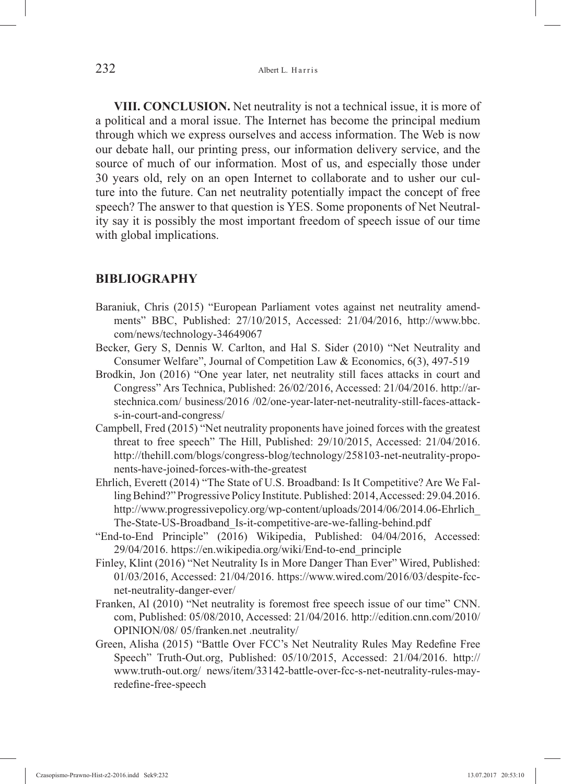**VIII. CONCLUSION.** Net neutrality is not a technical issue, it is more of a political and a moral issue. The Internet has become the principal medium through which we express ourselves and access information. The Web is now our debate hall, our printing press, our information delivery service, and the source of much of our information. Most of us, and especially those under 30 years old, rely on an open Internet to collaborate and to usher our culture into the future. Can net neutrality potentially impact the concept of free speech? The answer to that question is YES. Some proponents of Net Neutrality say it is possibly the most important freedom of speech issue of our time with global implications.

## **BIBLIOGRAPHY**

- Baraniuk, Chris (2015) "European Parliament votes against net neutrality amendments" BBC, Published: 27/10/2015, Accessed: 21/04/2016, http://www.bbc. com/news/technology-34649067
- Becker, Gery S, Dennis W. Carlton, and Hal S. Sider (2010) "Net Neutrality and Consumer Welfare", Journal of Competition Law & Economics, 6(3), 497-519
- Brodkin, Jon (2016) "One year later, net neutrality still faces attacks in court and Congress" Ars Technica, Published: 26/02/2016, Accessed: 21/04/2016. http://arstechnica.com/ business/2016 /02/one-year-later-net-neutrality-still-faces-attacks-in-court-and-congress/
- Campbell, Fred (2015) "Net neutrality proponents have joined forces with the greatest threat to free speech" The Hill, Published: 29/10/2015, Accessed: 21/04/2016. http://thehill.com/blogs/congress-blog/technology/258103-net-neutrality-proponents-have-joined-forces-with-the-greatest
- Ehrlich, Everett (2014) "The State of U.S. Broadband: Is It Competitive? Are We Falling Behind?" Progressive Policy Institute. Published: 2014, Accessed: 29.04.2016. http://www.progressivepolicy.org/wp-content/uploads/2014/06/2014.06-Ehrlich\_ The-State-US-Broadband\_Is-it-competitive-are-we-falling-behind.pdf
- "End-to-End Principle" (2016) Wikipedia, Published: 04/04/2016, Accessed: 29/04/2016. https://en.wikipedia.org/wiki/End-to-end\_principle
- Finley, Klint (2016) "Net Neutrality Is in More Danger Than Ever" Wired, Published: 01/03/2016, Accessed: 21/04/2016. https://www.wired.com/2016/03/despite-fccnet-neutrality-danger-ever/
- Franken, Al (2010) "Net neutrality is foremost free speech issue of our time" CNN. com, Published: 05/08/2010, Accessed: 21/04/2016. http://edition.cnn.com/2010/ OPINION/08/ 05/franken.net .neutrality/
- Green, Alisha (2015) "Battle Over FCC's Net Neutrality Rules May Redefine Free Speech" Truth-Out.org, Published: 05/10/2015, Accessed: 21/04/2016. http:// www.truth-out.org/ news/item/33142-battle-over-fcc-s-net-neutrality-rules-mayredefine-free-speech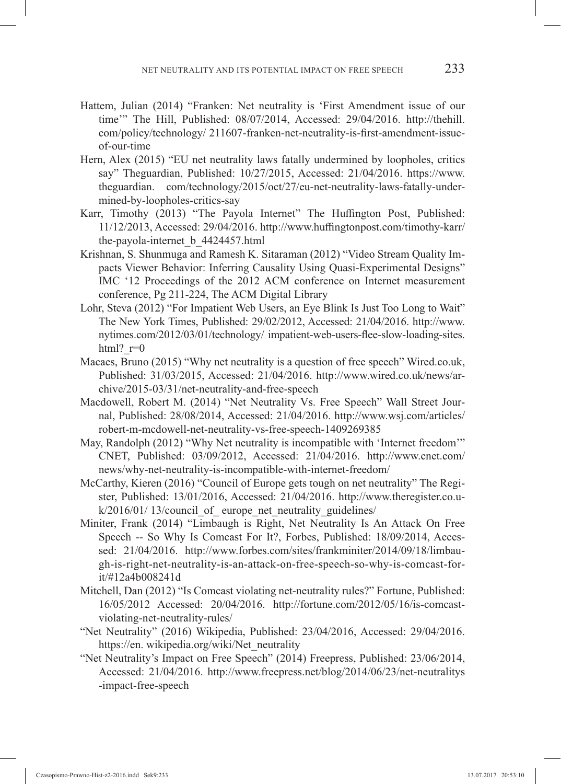- Hattem, Julian (2014) "Franken: Net neutrality is 'First Amendment issue of our time'" The Hill, Published: 08/07/2014, Accessed: 29/04/2016. http://thehill. com/policy/technology/ 211607-franken-net-neutrality-is-first-amendment-issueof-our-time
- Hern, Alex (2015) "EU net neutrality laws fatally undermined by loopholes, critics say" Theguardian, Published: 10/27/2015, Accessed: 21/04/2016. https://www. theguardian. com/technology/2015/oct/27/eu-net-neutrality-laws-fatally-undermined-by-loopholes-critics-say
- Karr, Timothy (2013) "The Payola Internet" The Huffington Post, Published: 11/12/2013, Accessed: 29/04/2016. http://www.huffingtonpost.com/timothy-karr/ the-payola-internet\_b\_4424457.html
- Krishnan, S. Shunmuga and Ramesh K. Sitaraman (2012) "Video Stream Quality Impacts Viewer Behavior: Inferring Causality Using Quasi-Experimental Designs" IMC '12 Proceedings of the 2012 ACM conference on Internet measurement conference, Pg 211-224, The ACM Digital Library
- Lohr, Steva (2012) "For Impatient Web Users, an Eye Blink Is Just Too Long to Wait" The New York Times, Published: 29/02/2012, Accessed: 21/04/2016. http://www. nytimes.com/2012/03/01/technology/ impatient-web-users-flee-slow-loading-sites. html?  $r=0$
- Macaes, Bruno (2015) "Why net neutrality is a question of free speech" Wired.co.uk, Published: 31/03/2015, Accessed: 21/04/2016. http://www.wired.co.uk/news/archive/2015-03/31/net-neutrality-and-free-speech
- Macdowell, Robert M. (2014) "Net Neutrality Vs. Free Speech" Wall Street Journal, Published: 28/08/2014, Accessed: 21/04/2016. http://www.wsj.com/articles/ robert-m-mcdowell-net-neutrality-vs-free-speech-1409269385
- May, Randolph (2012) "Why Net neutrality is incompatible with 'Internet freedom'" CNET, Published: 03/09/2012, Accessed: 21/04/2016. http://www.cnet.com/ news/why-net-neutrality-is-incompatible-with-internet-freedom/
- McCarthy, Kieren (2016) "Council of Europe gets tough on net neutrality" The Register, Published: 13/01/2016, Accessed: 21/04/2016. http://www.theregister.co.u $k/2016/01/13/c$  council of europe net neutrality guidelines/
- Miniter, Frank (2014) "Limbaugh is Right, Net Neutrality Is An Attack On Free Speech -- So Why Is Comcast For It?, Forbes, Published: 18/09/2014, Accessed: 21/04/2016. http://www.forbes.com/sites/frankminiter/2014/09/18/limbaugh-is-right-net-neutrality-is-an-attack-on-free-speech-so-why-is-comcast-forit/#12a4b008241d
- Mitchell, Dan (2012) "Is Comcast violating net-neutrality rules?" Fortune, Published: 16/05/2012 Accessed: 20/04/2016. http://fortune.com/2012/05/16/is-comcastviolating-net-neutrality-rules/
- "Net Neutrality" (2016) Wikipedia, Published: 23/04/2016, Accessed: 29/04/2016. https://en. wikipedia.org/wiki/Net\_neutrality
- "Net Neutrality's Impact on Free Speech" (2014) Freepress, Published: 23/06/2014, Accessed: 21/04/2016. http://www.freepress.net/blog/2014/06/23/net-neutralitys -impact-free-speech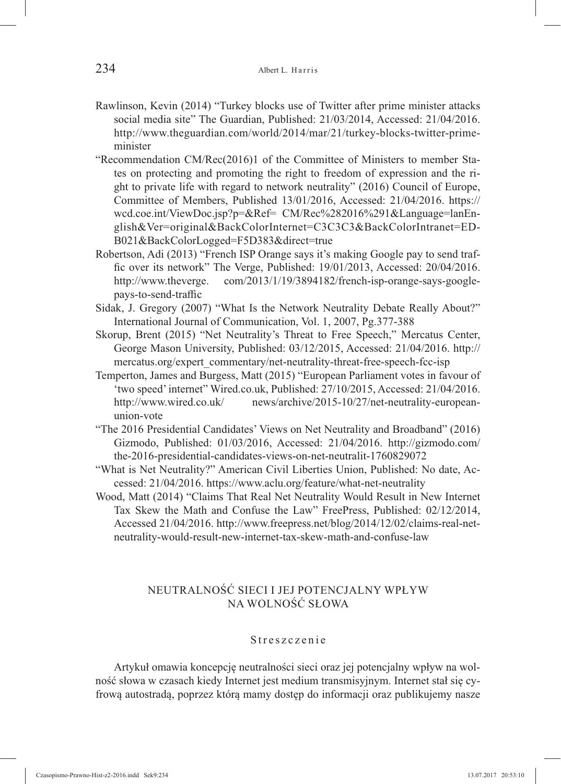- Rawlinson, Kevin (2014) "Turkey blocks use of Twitter after prime minister attacks social media site" The Guardian, Published: 21/03/2014, Accessed: 21/04/2016. http://www.theguardian.com/world/2014/mar/21/turkey-blocks-twitter-primeminister
- "Recommendation CM/Rec(2016)1 of the Committee of Ministers to member States on protecting and promoting the right to freedom of expression and the right to private life with regard to network neutrality" (2016) Council of Europe, Committee of Members, Published 13/01/2016, Accessed: 21/04/2016. https:// wcd.coe.int/ViewDoc.jsp?p=&Ref= CM/Rec%282016%291&Language=lanEnglish&Ver=original&BackColorInternet=C3C3C3&BackColorIntranet=ED-B021&BackColorLogged=F5D383&direct=true
- Robertson, Adi (2013) "French ISP Orange says it's making Google pay to send traffic over its network" The Verge, Published: 19/01/2013, Accessed: 20/04/2016. http://www.theverge. com/2013/1/19/3894182/french-isp-orange-says-googlepays-to-send-traffic
- Sidak, J. Gregory (2007) "What Is the Network Neutrality Debate Really About?" International Journal of Communication, Vol. 1, 2007, Pg.377-388
- Skorup, Brent (2015) "Net Neutrality's Threat to Free Speech," Mercatus Center, George Mason University, Published: 03/12/2015, Accessed: 21/04/2016. http:// mercatus.org/expert\_commentary/net-neutrality-threat-free-speech-fcc-isp
- Temperton, James and Burgess, Matt (2015) "European Parliament votes in favour of 'two speed' internet" Wired.co.uk, Published: 27/10/2015, Accessed: 21/04/2016. http://www.wired.co.uk/ news/archive/2015-10/27/net-neutrality-europeanunion-vote
- "The 2016 Presidential Candidates' Views on Net Neutrality and Broadband" (2016) Gizmodo, Published: 01/03/2016, Accessed: 21/04/2016. http://gizmodo.com/ the-2016-presidential-candidates-views-on-net-neutralit-1760829072
- "What is Net Neutrality?" American Civil Liberties Union, Published: No date, Accessed: 21/04/2016. https://www.aclu.org/feature/what-net-neutrality
- Wood, Matt (2014) "Claims That Real Net Neutrality Would Result in New Internet Tax Skew the Math and Confuse the Law" FreePress, Published: 02/12/2014, Accessed 21/04/2016. http://www.freepress.net/blog/2014/12/02/claims-real-netneutrality-would-result-new-internet-tax-skew-math-and-confuse-law

## NEUTRALNOŚĆ SIECI I JEJ POTENCJALNY WPŁYW NA WOLNOŚĆ SŁOWA

#### Streszczenie

Artykuł omawia koncepcję neutralności sieci oraz jej potencjalny wpływ na wolność słowa w czasach kiedy Internet jest medium transmisyjnym. Internet stał się cyfrową autostradą, poprzez którą mamy dostęp do informacji oraz publikujemy nasze